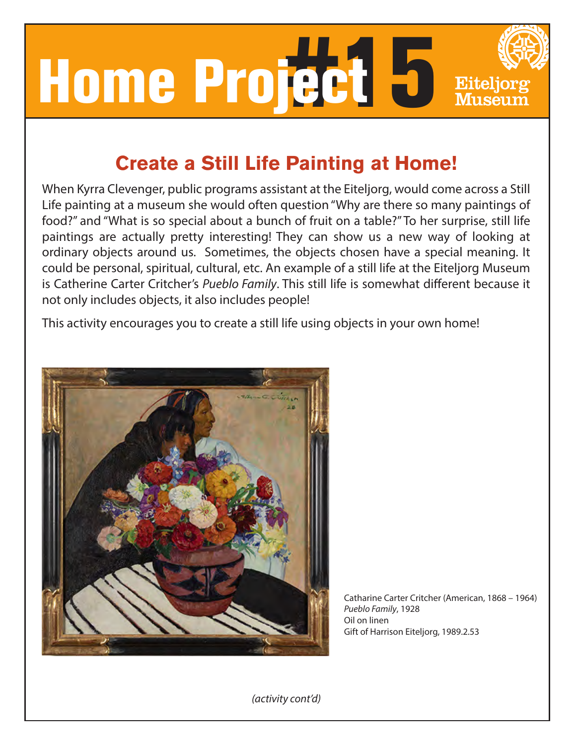

## **Create a Still Life Painting at Home!**

When Kyrra Clevenger, public programs assistant at the Eiteljorg, would come across a Still Life painting at a museum she would often question "Why are there so many paintings of food?" and "What is so special about a bunch of fruit on a table?" To her surprise, still life paintings are actually pretty interesting! They can show us a new way of looking at ordinary objects around us. Sometimes, the objects chosen have a special meaning. It could be personal, spiritual, cultural, etc. An example of a still life at the Eiteljorg Museum is Catherine Carter Critcher's Pueblo Family. This still life is somewhat different because it not only includes objects, it also includes people!

This activity encourages you to create a still life using objects in your own home!



Catharine Carter Critcher (American, 1868 – 1964) Pueblo Family, 1928 Oil on linen Gift of Harrison Eiteljorg, 1989.2.53

(activity cont'd)